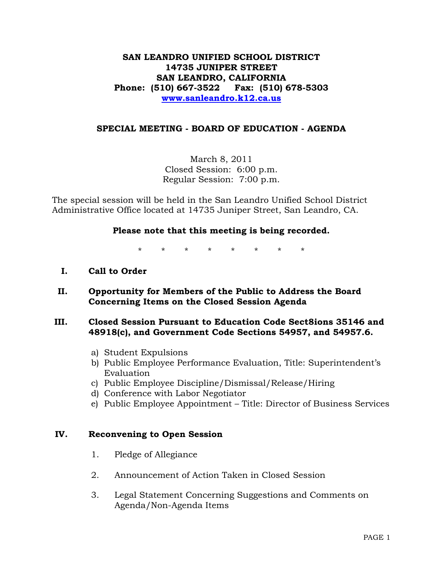# **SAN LEANDRO UNIFIED SCHOOL DISTRICT 14735 JUNIPER STREET SAN LEANDRO, CALIFORNIA Phone: (510) 667-3522 Fax: (510) 678-5303 [www.sanleandro.k12.ca.us](http://www.sanleandro.k12.ca.us/)**

## **SPECIAL MEETING - BOARD OF EDUCATION - AGENDA**

March 8, 2011 Closed Session: 6:00 p.m. Regular Session: 7:00 p.m.

The special session will be held in the San Leandro Unified School District Administrative Office located at 14735 Juniper Street, San Leandro, CA.

## **Please note that this meeting is being recorded.**

\* \* \* \* \* \* \* \*

- **I. Call to Order**
- **II. Opportunity for Members of the Public to Address the Board Concerning Items on the Closed Session Agenda**

## **III. Closed Session Pursuant to Education Code Sect8ions 35146 and 48918(c), and Government Code Sections 54957, and 54957.6.**

- a) Student Expulsions
- b) Public Employee Performance Evaluation, Title: Superintendent's Evaluation
- c) Public Employee Discipline/Dismissal/Release/Hiring
- d) Conference with Labor Negotiator
- e) Public Employee Appointment Title: Director of Business Services

## **IV. Reconvening to Open Session**

- 1. Pledge of Allegiance
- 2. Announcement of Action Taken in Closed Session
- 3. Legal Statement Concerning Suggestions and Comments on Agenda/Non-Agenda Items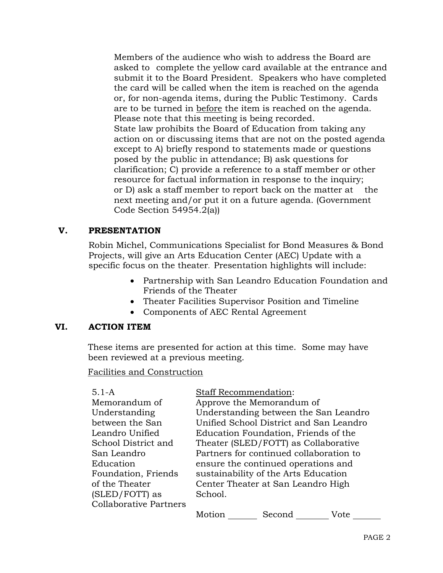Members of the audience who wish to address the Board are asked to complete the yellow card available at the entrance and submit it to the Board President. Speakers who have completed the card will be called when the item is reached on the agenda or, for non-agenda items, during the Public Testimony. Cards are to be turned in before the item is reached on the agenda. Please note that this meeting is being recorded. State law prohibits the Board of Education from taking any action on or discussing items that are not on the posted agenda except to A) briefly respond to statements made or questions posed by the public in attendance; B) ask questions for clarification; C) provide a reference to a staff member or other resource for factual information in response to the inquiry; or D) ask a staff member to report back on the matter at the next meeting and/or put it on a future agenda. (Government Code Section 54954.2(a))

# **V. PRESENTATION**

Robin Michel, Communications Specialist for Bond Measures & Bond Projects, will give an Arts Education Center (AEC) Update with a specific focus on the theater. Presentation highlights will include:

- Partnership with San Leandro Education Foundation and Friends of the Theater
- Theater Facilities Supervisor Position and Timeline
- Components of AEC Rental Agreement

# **VI. ACTION ITEM**

These items are presented for action at this time. Some may have been reviewed at a previous meeting.

Facilities and Construction

5.1-A Memorandum of Understanding between the San Leandro Unified School District and San Leandro Education Foundation, Friends

of the Theater (SLED/FOTT) as

Collaborative Partners

Staff Recommendation: Approve the Memorandum of Understanding between the San Leandro Unified School District and San Leandro Education Foundation, Friends of the Theater (SLED/FOTT) as Collaborative Partners for continued collaboration to ensure the continued operations and

sustainability of the Arts Education Center Theater at San Leandro High School.

Motion \_\_\_\_\_\_\_\_ Second \_\_\_\_\_\_\_\_\_ Vote \_\_\_\_\_\_\_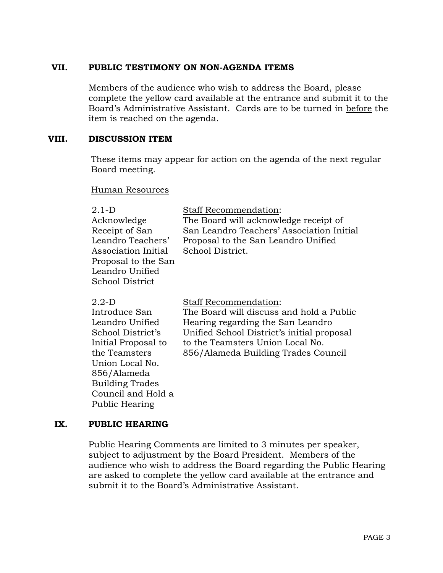## **VII. PUBLIC TESTIMONY ON NON-AGENDA ITEMS**

Members of the audience who wish to address the Board, please complete the yellow card available at the entrance and submit it to the Board's Administrative Assistant. Cards are to be turned in before the item is reached on the agenda.

## **VIII. DISCUSSION ITEM**

These items may appear for action on the agenda of the next regular Board meeting.

#### Human Resources

| $2.1-D$<br>Acknowledge<br>Receipt of San<br>Leandro Teachers'<br>Association Initial<br>Proposal to the San<br>Leandro Unified<br>School District                                          | Staff Recommendation:<br>The Board will acknowledge receipt of<br>San Leandro Teachers' Association Initial<br>Proposal to the San Leandro Unified<br>School District.                                                                 |
|--------------------------------------------------------------------------------------------------------------------------------------------------------------------------------------------|----------------------------------------------------------------------------------------------------------------------------------------------------------------------------------------------------------------------------------------|
| $2.2-D$<br>Introduce San<br>Leandro Unified<br>School District's<br>Initial Proposal to<br>the Teamsters<br>Union Local No.<br>856/Alameda<br><b>Building Trades</b><br>Council and Hold a | <b>Staff Recommendation:</b><br>The Board will discuss and hold a Public<br>Hearing regarding the San Leandro<br>Unified School District's initial proposal<br>to the Teamsters Union Local No.<br>856/Alameda Building Trades Council |

# **IX. PUBLIC HEARING**

Public Hearing

Public Hearing Comments are limited to 3 minutes per speaker, subject to adjustment by the Board President. Members of the audience who wish to address the Board regarding the Public Hearing are asked to complete the yellow card available at the entrance and submit it to the Board's Administrative Assistant.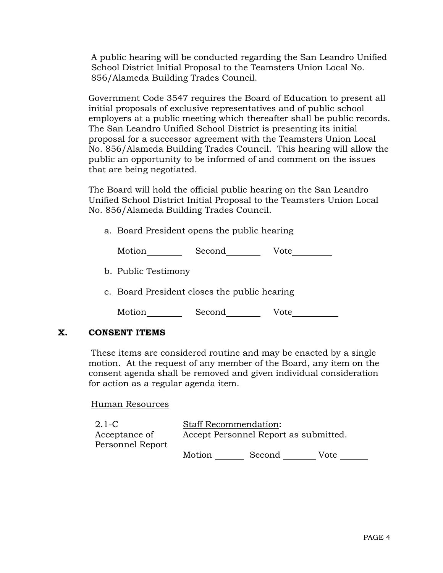A public hearing will be conducted regarding the San Leandro Unified School District Initial Proposal to the Teamsters Union Local No. 856/Alameda Building Trades Council.

Government Code 3547 requires the Board of Education to present all initial proposals of exclusive representatives and of public school employers at a public meeting which thereafter shall be public records. The San Leandro Unified School District is presenting its initial proposal for a successor agreement with the Teamsters Union Local No. 856/Alameda Building Trades Council. This hearing will allow the public an opportunity to be informed of and comment on the issues that are being negotiated.

The Board will hold the official public hearing on the San Leandro Unified School District Initial Proposal to the Teamsters Union Local No. 856/Alameda Building Trades Council.

a. Board President opens the public hearing

Motion Second Vote

b. Public Testimony

c. Board President closes the public hearing

| Motion | Second | Vote |
|--------|--------|------|
|--------|--------|------|

# **X. CONSENT ITEMS**

These items are considered routine and may be enacted by a single motion. At the request of any member of the Board, any item on the consent agenda shall be removed and given individual consideration for action as a regular agenda item.

Human Resources

| $2.1-C$          | <b>Staff Recommendation:</b>          |        |      |  |
|------------------|---------------------------------------|--------|------|--|
| Acceptance of    | Accept Personnel Report as submitted. |        |      |  |
| Personnel Report |                                       |        |      |  |
|                  | Motion                                | Second | Vote |  |